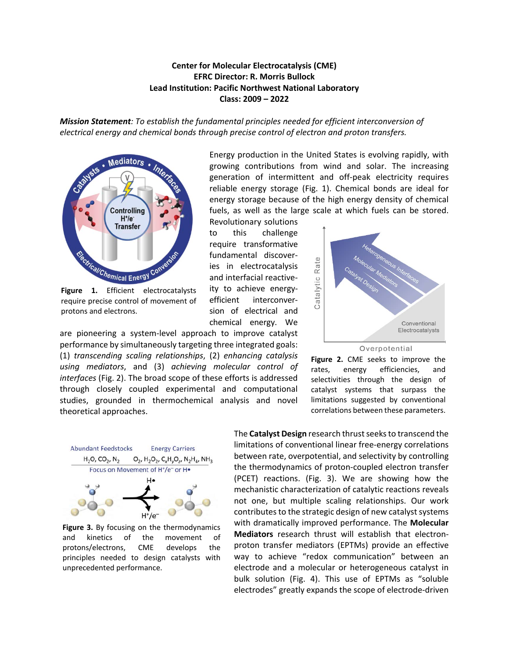## **Center for Molecular Electrocatalysis (CME) EFRC Director: R. Morris Bullock Lead Institution: Pacific Northwest National Laboratory Class: 2009 – 2022**

*Mission Statement: To establish the fundamental principles needed for efficient interconversion of electrical energy and chemical bonds through precise control of electron and proton transfers.* 



require precise control of movement of protons and electrons.

are pioneering a system-level approach to improve catalyst performance by simultaneously targeting three integrated goals: (1) *transcending scaling relationships*, (2) *enhancing catalysis using mediators*, and (3) *achieving molecular control of interfaces* (Fig. 2). The broad scope of these efforts is addressed through closely coupled experimental and computational studies, grounded in thermochemical analysis and novel theoretical approaches.

Energy production in the United States is evolving rapidly, with growing contributions from wind and solar. The increasing generation of intermittent and off-peak electricity requires reliable energy storage (Fig. 1). Chemical bonds are ideal for energy storage because of the high energy density of chemical fuels, as well as the large scale at which fuels can be stored.

Revolutionary solutions to this challenge require transformative fundamental discoveries in electrocatalysis and interfacial reactiveity to achieve energyefficient interconversion of electrical and chemical energy. We



**Figure 2.** CME seeks to improve the rates, energy efficiencies, and selectivities through the design of catalyst systems that surpass the limitations suggested by conventional correlations between these parameters.



**Figure 3.** By focusing on the thermodynamics and kinetics of the movement of protons/electrons, CME develops the principles needed to design catalysts with unprecedented performance.

The **Catalyst Design** research thrust seeksto transcend the limitations of conventional linear free-energy correlations between rate, overpotential, and selectivity by controlling the thermodynamics of proton-coupled electron transfer (PCET) reactions. (Fig. 3). We are showing how the mechanistic characterization of catalytic reactions reveals not one, but multiple scaling relationships. Our work contributes to the strategic design of new catalyst systems with dramatically improved performance. The **Molecular Mediators** research thrust will establish that electronproton transfer mediators (EPTMs) provide an effective way to achieve "redox communication" between an electrode and a molecular or heterogeneous catalyst in bulk solution (Fig. 4). This use of EPTMs as "soluble electrodes" greatly expands the scope of electrode-driven